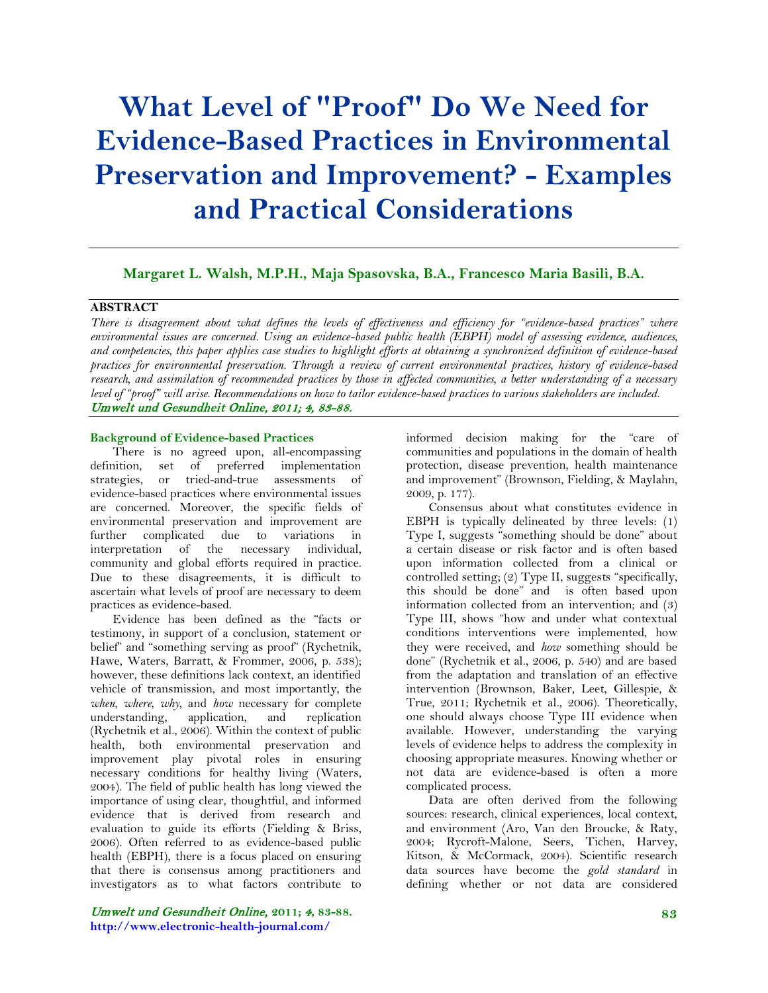# **What Level of "Proof" Do We Need for Evidence-Based Practices in Environmental Preservation and Improvement? - Examples and Practical Considerations**

# **Margaret L. Walsh, M.P.H., Maja Spasovska, B.A., Francesco Maria Basili, B.A.**

# **ABSTRACT**

*There is disagreement about what defines the levels of effectiveness and efficiency for "evidence-based practices" where environmental issues are concerned. Using an evidence-based public health (EBPH) model of assessing evidence, audiences, and competencies, this paper applies case studies to highlight efforts at obtaining a synchronized definition of evidence-based practices for environmental preservation. Through a review of current environmental practices, history of evidence-based research, and assimilation of recommended practices by those in affected communities, a better understanding of a necessary level of "proof" will arise. Recommendations on how to tailor evidence-based practices to various stakeholders are included.* Umwelt und Gesundheit Online, 2011; 4, 83-88.

## **Background of Evidence-based Practices**

There is no agreed upon, all-encompassing definition, set of preferred implementation strategies, or tried-and-true assessments of evidence-based practices where environmental issues are concerned. Moreover, the specific fields of environmental preservation and improvement are further complicated due to variations in interpretation of the necessary individual, community and global efforts required in practice. Due to these disagreements, it is difficult to ascertain what levels of proof are necessary to deem practices as evidence-based.

Evidence has been defined as the "facts or testimony, in support of a conclusion, statement or belief" and "something serving as proof" (Rychetnik, Hawe, Waters, Barratt, & Frommer, 2006, p. 538); however, these definitions lack context, an identified vehicle of transmission, and most importantly, the *when*, *where*, *why*, and *how* necessary for complete understanding, application, and replication (Rychetnik et al., 2006). Within the context of public health, both environmental preservation and improvement play pivotal roles in ensuring necessary conditions for healthy living (Waters, 2004). The field of public health has long viewed the importance of using clear, thoughtful, and informed evidence that is derived from research and evaluation to guide its efforts (Fielding & Briss, 2006). Often referred to as evidence-based public health (EBPH), there is a focus placed on ensuring that there is consensus among practitioners and investigators as to what factors contribute to

informed decision making for the "care of communities and populations in the domain of health protection, disease prevention, health maintenance and improvement" (Brownson, Fielding, & Maylahn, 2009, p. 177).

Consensus about what constitutes evidence in EBPH is typically delineated by three levels: (1) Type I, suggests "something should be done" about a certain disease or risk factor and is often based upon information collected from a clinical or controlled setting; (2) Type II, suggests "specifically, this should be done" and is often based upon information collected from an intervention; and (3) Type III, shows "how and under what contextual conditions interventions were implemented, how they were received, and *how* something should be done" (Rychetnik et al., 2006, p. 540) and are based from the adaptation and translation of an effective intervention (Brownson, Baker, Leet, Gillespie, & True, 2011; Rychetnik et al., 2006). Theoretically, one should always choose Type III evidence when available. However, understanding the varying levels of evidence helps to address the complexity in choosing appropriate measures. Knowing whether or not data are evidence-based is often a more complicated process.

Data are often derived from the following sources: research, clinical experiences, local context, and environment (Aro, Van den Broucke, & Raty, 2004; Rycroft-Malone, Seers, Tichen, Harvey, Kitson, & McCormack, 2004). Scientific research data sources have become the *gold standard* in defining whether or not data are considered

Umwelt und Gesundheit Online, **2011;** 4**, 83-88. http://www.electronic-health-journal.com/**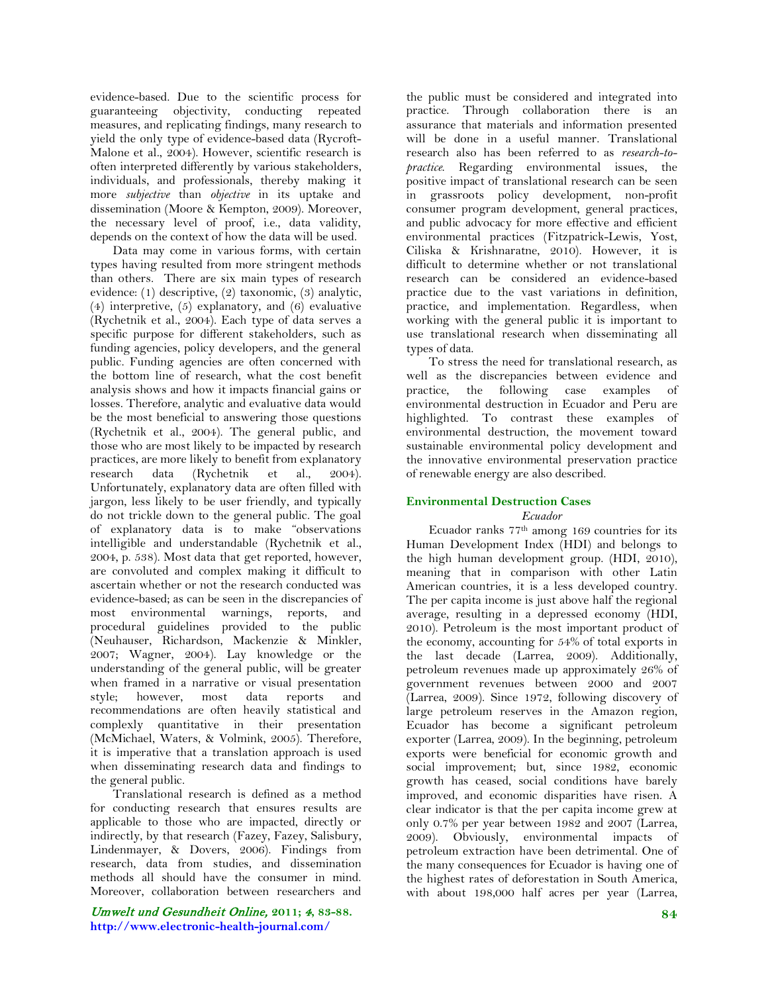evidence-based. Due to the scientific process for guaranteeing objectivity, conducting repeated measures, and replicating findings, many research to yield the only type of evidence-based data (Rycroft-Malone et al., 2004). However, scientific research is often interpreted differently by various stakeholders, individuals, and professionals, thereby making it more *subjective* than *objective* in its uptake and dissemination (Moore & Kempton, 2009). Moreover, the necessary level of proof, i.e., data validity, depends on the context of how the data will be used.

Data may come in various forms, with certain types having resulted from more stringent methods than others. There are six main types of research evidence: (1) descriptive, (2) taxonomic, (3) analytic, (4) interpretive, (5) explanatory, and (6) evaluative (Rychetnik et al., 2004). Each type of data serves a specific purpose for different stakeholders, such as funding agencies, policy developers, and the general public. Funding agencies are often concerned with the bottom line of research, what the cost benefit analysis shows and how it impacts financial gains or losses. Therefore, analytic and evaluative data would be the most beneficial to answering those questions (Rychetnik et al., 2004). The general public, and those who are most likely to be impacted by research practices, are more likely to benefit from explanatory research data (Rychetnik et al., 2004). Unfortunately, explanatory data are often filled with jargon, less likely to be user friendly, and typically do not trickle down to the general public. The goal of explanatory data is to make "observations intelligible and understandable (Rychetnik et al., 2004, p. 538). Most data that get reported, however, are convoluted and complex making it difficult to ascertain whether or not the research conducted was evidence-based; as can be seen in the discrepancies of most environmental warnings, reports, and procedural guidelines provided to the public (Neuhauser, Richardson, Mackenzie & Minkler, 2007; Wagner, 2004). Lay knowledge or the understanding of the general public, will be greater when framed in a narrative or visual presentation style; however, most data reports and recommendations are often heavily statistical and complexly quantitative in their presentation (McMichael, Waters, & Volmink, 2005). Therefore, it is imperative that a translation approach is used when disseminating research data and findings to the general public.

Translational research is defined as a method for conducting research that ensures results are applicable to those who are impacted, directly or indirectly, by that research (Fazey, Fazey, Salisbury, Lindenmayer, & Dovers, 2006). Findings from research, data from studies, and dissemination methods all should have the consumer in mind. Moreover, collaboration between researchers and

Umwelt und Gesundheit Online, **2011;** 4**, 83-88. http://www.electronic-health-journal.com/**

the public must be considered and integrated into practice. Through collaboration there is an assurance that materials and information presented will be done in a useful manner. Translational research also has been referred to as *research-topractice*. Regarding environmental issues, the positive impact of translational research can be seen in grassroots policy development, non-profit consumer program development, general practices, and public advocacy for more effective and efficient environmental practices (Fitzpatrick-Lewis, Yost, Ciliska & Krishnaratne, 2010). However, it is difficult to determine whether or not translational research can be considered an evidence-based practice due to the vast variations in definition, practice, and implementation. Regardless, when working with the general public it is important to use translational research when disseminating all types of data.

To stress the need for translational research, as well as the discrepancies between evidence and practice, the following case examples of environmental destruction in Ecuador and Peru are highlighted. To contrast these examples of environmental destruction, the movement toward sustainable environmental policy development and the innovative environmental preservation practice of renewable energy are also described.

# **Environmental Destruction Cases**

## *Ecuador*

Ecuador ranks 77th among 169 countries for its Human Development Index (HDI) and belongs to the high human development group. (HDI, 2010), meaning that in comparison with other Latin American countries, it is a less developed country. The per capita income is just above half the regional average, resulting in a depressed economy (HDI, 2010). Petroleum is the most important product of the economy, accounting for 54% of total exports in the last decade (Larrea, 2009). Additionally, petroleum revenues made up approximately 26% of government revenues between 2000 and 2007 (Larrea, 2009). Since 1972, following discovery of large petroleum reserves in the Amazon region, Ecuador has become a significant petroleum exporter (Larrea, 2009). In the beginning, petroleum exports were beneficial for economic growth and social improvement; but, since 1982, economic growth has ceased, social conditions have barely improved, and economic disparities have risen. A clear indicator is that the per capita income grew at only 0.7% per year between 1982 and 2007 (Larrea, 2009). Obviously, environmental impacts of petroleum extraction have been detrimental. One of the many consequences for Ecuador is having one of the highest rates of deforestation in South America, with about 198,000 half acres per year (Larrea,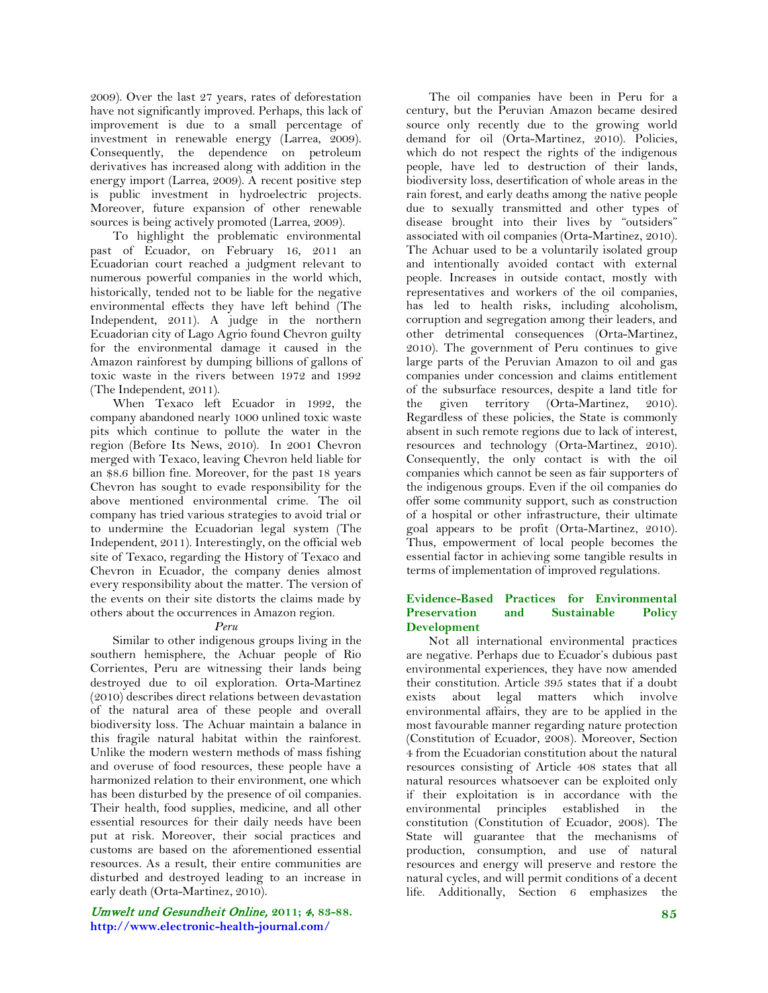2009). Over the last 27 years, rates of deforestation have not significantly improved. Perhaps, this lack of improvement is due to a small percentage of investment in renewable energy (Larrea, 2009). Consequently, the dependence on petroleum derivatives has increased along with addition in the energy import (Larrea, 2009). A recent positive step is public investment in hydroelectric projects. Moreover, future expansion of other renewable sources is being actively promoted (Larrea, 2009).

To highlight the problematic environmental past of Ecuador, on February 16, 2011 an Ecuadorian court reached a judgment relevant to numerous powerful companies in the world which, historically, tended not to be liable for the negative environmental effects they have left behind (The Independent, 2011). A judge in the northern Ecuadorian city of Lago Agrio found Chevron guilty for the environmental damage it caused in the Amazon rainforest by dumping billions of gallons of toxic waste in the rivers between 1972 and 1992 (The Independent, 2011).

When Texaco left Ecuador in 1992, the company abandoned nearly 1000 unlined toxic waste pits which continue to pollute the water in the region (Before Its News, 2010). In 2001 Chevron merged with Texaco, leaving Chevron held liable for an \$8.6 billion fine. Moreover, for the past 18 years Chevron has sought to evade responsibility for the above mentioned environmental crime. The oil company has tried various strategies to avoid trial or to undermine the Ecuadorian legal system (The Independent, 2011). Interestingly, on the official web site of Texaco, regarding the History of Texaco and Chevron in Ecuador, the company denies almost every responsibility about the matter. The version of the events on their site distorts the claims made by others about the occurrences in Amazon region.

## *Peru*

Similar to other indigenous groups living in the southern hemisphere, the Achuar people of Rio Corrientes, Peru are witnessing their lands being destroyed due to oil exploration. Orta-Martinez (2010) describes direct relations between devastation of the natural area of these people and overall biodiversity loss. The Achuar maintain a balance in this fragile natural habitat within the rainforest. Unlike the modern western methods of mass fishing and overuse of food resources, these people have a harmonized relation to their environment, one which has been disturbed by the presence of oil companies. Their health, food supplies, medicine, and all other essential resources for their daily needs have been put at risk. Moreover, their social practices and customs are based on the aforementioned essential resources. As a result, their entire communities are disturbed and destroyed leading to an increase in early death (Orta-Martinez, 2010).

# Umwelt und Gesundheit Online, **2011;** 4**, 83-88. http://www.electronic-health-journal.com/**

The oil companies have been in Peru for a century, but the Peruvian Amazon became desired source only recently due to the growing world demand for oil (Orta-Martinez, 2010). Policies, which do not respect the rights of the indigenous people, have led to destruction of their lands, biodiversity loss, desertification of whole areas in the rain forest, and early deaths among the native people due to sexually transmitted and other types of disease brought into their lives by "outsiders" associated with oil companies (Orta-Martinez, 2010). The Achuar used to be a voluntarily isolated group and intentionally avoided contact with external people. Increases in outside contact, mostly with representatives and workers of the oil companies, has led to health risks, including alcoholism, corruption and segregation among their leaders, and other detrimental consequences (Orta-Martinez, 2010). The government of Peru continues to give large parts of the Peruvian Amazon to oil and gas companies under concession and claims entitlement of the subsurface resources, despite a land title for the given territory (Orta-Martinez, 2010). Regardless of these policies, the State is commonly absent in such remote regions due to lack of interest, resources and technology (Orta-Martinez, 2010). Consequently, the only contact is with the oil companies which cannot be seen as fair supporters of the indigenous groups. Even if the oil companies do offer some community support, such as construction of a hospital or other infrastructure, their ultimate goal appears to be profit (Orta-Martinez, 2010). Thus, empowerment of local people becomes the essential factor in achieving some tangible results in terms of implementation of improved regulations.

## **Evidence-Based Practices for Environmental Preservation and Sustainable Policy Development**

Not all international environmental practices are negative. Perhaps due to Ecuador's dubious past environmental experiences, they have now amended their constitution. Article 395 states that if a doubt exists about legal matters which involve environmental affairs, they are to be applied in the most favourable manner regarding nature protection (Constitution of Ecuador, 2008). Moreover, Section 4 from the Ecuadorian constitution about the natural resources consisting of Article 408 states that all natural resources whatsoever can be exploited only if their exploitation is in accordance with the environmental principles established in the constitution (Constitution of Ecuador, 2008). The State will guarantee that the mechanisms of production, consumption, and use of natural resources and energy will preserve and restore the natural cycles, and will permit conditions of a decent life. Additionally, Section 6 emphasizes the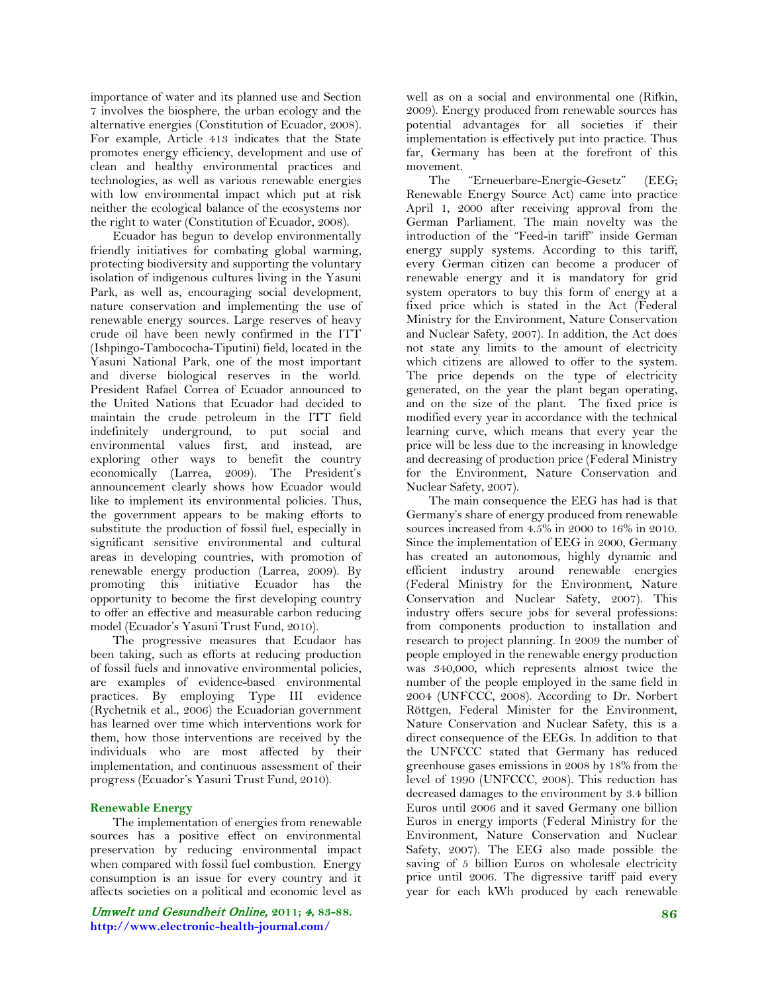importance of water and its planned use and Section 7 involves the biosphere, the urban ecology and the alternative energies (Constitution of Ecuador, 2008). For example, Article 413 indicates that the State promotes energy efficiency, development and use of clean and healthy environmental practices and technologies, as well as various renewable energies with low environmental impact which put at risk neither the ecological balance of the ecosystems nor the right to water (Constitution of Ecuador, 2008).

Ecuador has begun to develop environmentally friendly initiatives for combating global warming, protecting biodiversity and supporting the voluntary isolation of indigenous cultures living in the Yasuni Park, as well as, encouraging social development, nature conservation and implementing the use of renewable energy sources. Large reserves of heavy crude oil have been newly confirmed in the ITT (Ishpingo-Tambococha-Tiputini) field, located in the Yasuni National Park, one of the most important and diverse biological reserves in the world. President Rafael Correa of Ecuador announced to the United Nations that Ecuador had decided to maintain the crude petroleum in the ITT field indefinitely underground, to put social and environmental values first, and instead, are exploring other ways to benefit the country economically (Larrea, 2009). The President's announcement clearly shows how Ecuador would like to implement its environmental policies. Thus, the government appears to be making efforts to substitute the production of fossil fuel, especially in significant sensitive environmental and cultural areas in developing countries, with promotion of renewable energy production (Larrea, 2009). By promoting this initiative Ecuador has the opportunity to become the first developing country to offer an effective and measurable carbon reducing model (Ecuador's Yasuni Trust Fund, 2010).

The progressive measures that Ecudaor has been taking, such as efforts at reducing production of fossil fuels and innovative environmental policies, are examples of evidence-based environmental practices. By employing Type III evidence (Rychetnik et al., 2006) the Ecuadorian government has learned over time which interventions work for them, how those interventions are received by the individuals who are most affected by their implementation, and continuous assessment of their progress (Ecuador's Yasuni Trust Fund, 2010).

## **Renewable Energy**

The implementation of energies from renewable sources has a positive effect on environmental preservation by reducing environmental impact when compared with fossil fuel combustion. Energy consumption is an issue for every country and it affects societies on a political and economic level as

Umwelt und Gesundheit Online, **2011;** 4**, 83-88. http://www.electronic-health-journal.com/**

well as on a social and environmental one (Rifkin, 2009). Energy produced from renewable sources has potential advantages for all societies if their implementation is effectively put into practice. Thus far, Germany has been at the forefront of this movement.

The "Erneuerbare-Energie-Gesetz" (EEG; Renewable Energy Source Act) came into practice April 1, 2000 after receiving approval from the German Parliament. The main novelty was the introduction of the "Feed-in tariff" inside German energy supply systems. According to this tariff, every German citizen can become a producer of renewable energy and it is mandatory for grid system operators to buy this form of energy at a fixed price which is stated in the Act (Federal Ministry for the Environment, Nature Conservation and Nuclear Safety, 2007). In addition, the Act does not state any limits to the amount of electricity which citizens are allowed to offer to the system. The price depends on the type of electricity generated, on the year the plant began operating, and on the size of the plant. The fixed price is modified every year in accordance with the technical learning curve, which means that every year the price will be less due to the increasing in knowledge and decreasing of production price (Federal Ministry for the Environment, Nature Conservation and Nuclear Safety, 2007).

The main consequence the EEG has had is that Germany's share of energy produced from renewable sources increased from 4.5% in 2000 to 16% in 2010. Since the implementation of EEG in 2000, Germany has created an autonomous, highly dynamic and efficient industry around renewable energies (Federal Ministry for the Environment, Nature Conservation and Nuclear Safety, 2007). This industry offers secure jobs for several professions: from components production to installation and research to project planning. In 2009 the number of people employed in the renewable energy production was 340,000, which represents almost twice the number of the people employed in the same field in 2004 (UNFCCC, 2008). According to Dr. Norbert Röttgen, Federal Minister for the Environment, Nature Conservation and Nuclear Safety, this is a direct consequence of the EEGs. In addition to that the UNFCCC stated that Germany has reduced greenhouse gases emissions in 2008 by 18% from the level of 1990 (UNFCCC, 2008). This reduction has decreased damages to the environment by 3.4 billion Euros until 2006 and it saved Germany one billion Euros in energy imports (Federal Ministry for the Environment, Nature Conservation and Nuclear Safety, 2007). The EEG also made possible the saving of 5 billion Euros on wholesale electricity price until 2006. The digressive tariff paid every year for each kWh produced by each renewable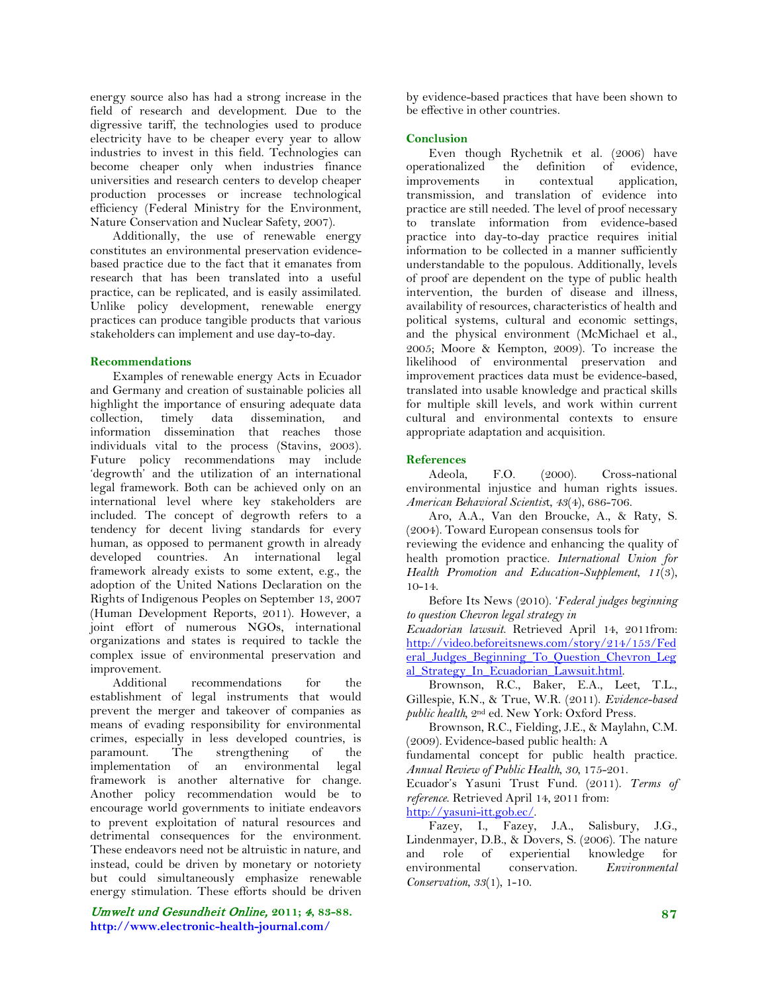energy source also has had a strong increase in the field of research and development. Due to the digressive tariff, the technologies used to produce electricity have to be cheaper every year to allow industries to invest in this field. Technologies can become cheaper only when industries finance universities and research centers to develop cheaper production processes or increase technological efficiency (Federal Ministry for the Environment, Nature Conservation and Nuclear Safety, 2007).

Additionally, the use of renewable energy constitutes an environmental preservation evidencebased practice due to the fact that it emanates from research that has been translated into a useful practice, can be replicated, and is easily assimilated. Unlike policy development, renewable energy practices can produce tangible products that various stakeholders can implement and use day-to-day.

## **Recommendations**

Examples of renewable energy Acts in Ecuador and Germany and creation of sustainable policies all highlight the importance of ensuring adequate data collection, timely data dissemination, and information dissemination that reaches those individuals vital to the process (Stavins, 2003). Future policy recommendations may include 'degrowth' and the utilization of an international legal framework. Both can be achieved only on an international level where key stakeholders are included. The concept of degrowth refers to a tendency for decent living standards for every human, as opposed to permanent growth in already developed countries. An international legal framework already exists to some extent, e.g., the adoption of the United Nations Declaration on the Rights of Indigenous Peoples on September 13, 2007 (Human Development Reports, 2011). However, a joint effort of numerous NGOs, international organizations and states is required to tackle the complex issue of environmental preservation and improvement.

Additional recommendations for the establishment of legal instruments that would prevent the merger and takeover of companies as means of evading responsibility for environmental crimes, especially in less developed countries, is paramount. The strengthening of the implementation of an environmental legal framework is another alternative for change. Another policy recommendation would be to encourage world governments to initiate endeavors to prevent exploitation of natural resources and detrimental consequences for the environment. These endeavors need not be altruistic in nature, and instead, could be driven by monetary or notoriety but could simultaneously emphasize renewable energy stimulation. These efforts should be driven

Umwelt und Gesundheit Online, **2011;** 4**, 83-88. http://www.electronic-health-journal.com/**

by evidence-based practices that have been shown to be effective in other countries.

## **Conclusion**

Even though Rychetnik et al. (2006) have operationalized the definition of evidence, improvements in contextual application, transmission, and translation of evidence into practice are still needed. The level of proof necessary to translate information from evidence-based practice into day-to-day practice requires initial information to be collected in a manner sufficiently understandable to the populous. Additionally, levels of proof are dependent on the type of public health intervention, the burden of disease and illness, availability of resources, characteristics of health and political systems, cultural and economic settings, and the physical environment (McMichael et al., 2005; Moore & Kempton, 2009). To increase the likelihood of environmental preservation and improvement practices data must be evidence-based, translated into usable knowledge and practical skills for multiple skill levels, and work within current cultural and environmental contexts to ensure appropriate adaptation and acquisition.

## **References**

Adeola, F.O. (2000). Cross-national environmental injustice and human rights issues. *American Behavioral Scientis*t, *43*(4), 686-706.

Aro, A.A., Van den Broucke, A., & Raty, S. (2004). Toward European consensus tools for reviewing the evidence and enhancing the quality of health promotion practice. *International Union for Health Promotion and Education-Supplement*, *11*(3), 10-14.

Before Its News (2010). '*Federal judges beginning to question Chevron legal strategy in* 

*Ecuadorian lawsuit*. Retrieved April 14, 2011from: [http://video.beforeitsnews.com/story/214/153/Fed](http://video.beforeitsnews.com/story/214/153/Federal_Judges_Beginning_To_Question_Chevron_Legal_Strategy_In_Ecuadorian_Lawsuit.html) eral Judges Beginning To Question Chevron Leg al Strategy In Ecuadorian Lawsuit.html.

Brownson, R.C., Baker, E.A., Leet, T.L., Gillespie, K.N., & True, W.R. (2011). *Evidence-based public health,* 2nd ed. New York: Oxford Press.

Brownson, R.C., Fielding, J.E., & Maylahn, C.M. (2009). Evidence-based public health: A

fundamental concept for public health practice. *Annual Review of Public Health*, *30*, 175-201.

Ecuador's Yasuni Trust Fund. (2011). *Terms of reference*. Retrieved April 14, 2011 from: [http://yasuni-itt.gob.ec/.](http://yasuni-itt.gob.ec/)

Fazey, I., Fazey, J.A., Salisbury, J.G., Lindenmayer, D.B., & Dovers, S. (2006). The nature and role of experiential knowledge for<br>environmental conservation. Environmental environmental conservation. *Environmental Conservation*, *33*(1), 1-10.